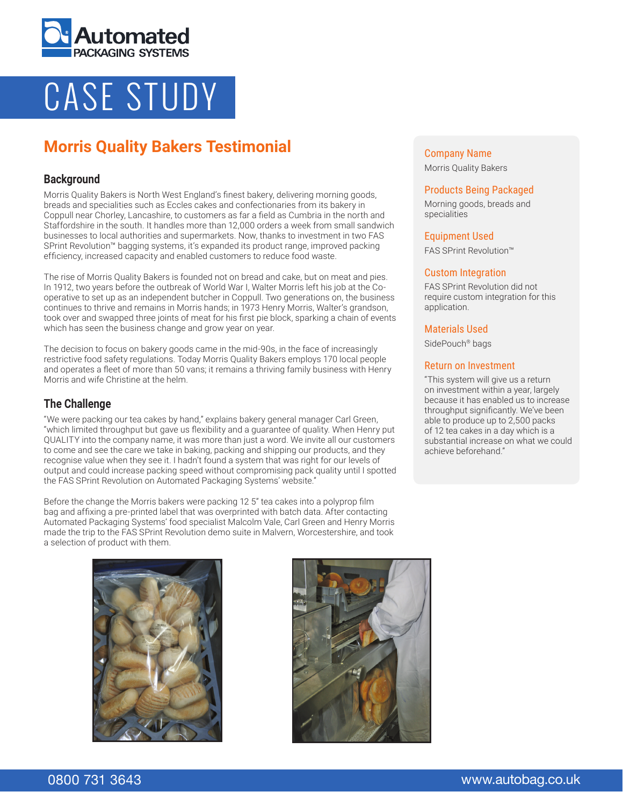

# CASE STUDY

# **Morris Quality Bakers Testimonial**

# **Background**

Morris Quality Bakers is North West England's finest bakery, delivering morning goods, breads and specialities such as Eccles cakes and confectionaries from its bakery in Coppull near Chorley, Lancashire, to customers as far a field as Cumbria in the north and Staffordshire in the south. It handles more than 12,000 orders a week from small sandwich businesses to local authorities and supermarkets. Now, thanks to investment in two FAS SPrint Revolution™ bagging systems, it's expanded its product range, improved packing efficiency, increased capacity and enabled customers to reduce food waste.

The rise of Morris Quality Bakers is founded not on bread and cake, but on meat and pies. In 1912, two years before the outbreak of World War I, Walter Morris left his job at the Cooperative to set up as an independent butcher in Coppull. Two generations on, the business continues to thrive and remains in Morris hands; in 1973 Henry Morris, Walter's grandson, took over and swapped three joints of meat for his first pie block, sparking a chain of events which has seen the business change and grow year on year.

The decision to focus on bakery goods came in the mid-90s, in the face of increasingly restrictive food safety regulations. Today Morris Quality Bakers employs 170 local people and operates a fleet of more than 50 vans; it remains a thriving family business with Henry Morris and wife Christine at the helm.

# **The Challenge**

"We were packing our tea cakes by hand," explains bakery general manager Carl Green, "which limited throughput but gave us flexibility and a guarantee of quality. When Henry put QUALITY into the company name, it was more than just a word. We invite all our customers to come and see the care we take in baking, packing and shipping our products, and they recognise value when they see it. I hadn't found a system that was right for our levels of output and could increase packing speed without compromising pack quality until I spotted the FAS SPrint Revolution on Automated Packaging Systems' website."

Before the change the Morris bakers were packing 12 5" tea cakes into a polyprop film bag and affixing a pre-printed label that was overprinted with batch data. After contacting Automated Packaging Systems' food specialist Malcolm Vale, Carl Green and Henry Morris made the trip to the FAS SPrint Revolution demo suite in Malvern, Worcestershire, and took a selection of product with them.

# Company Name

Morris Quality Bakers

#### Products Being Packaged

Morning goods, breads and specialities

#### Equipment Used

FAS SPrint Revolution™

#### Custom Integration

FAS SPrint Revolution did not require custom integration for this application.

#### Materials Used

SidePouch<sup>®</sup> bags

### Return on Investment

"This system will give us a return on investment within a year, largely because it has enabled us to increase throughput significantly. We've been able to produce up to 2,500 packs of 12 tea cakes in a day which is a substantial increase on what we could achieve beforehand."